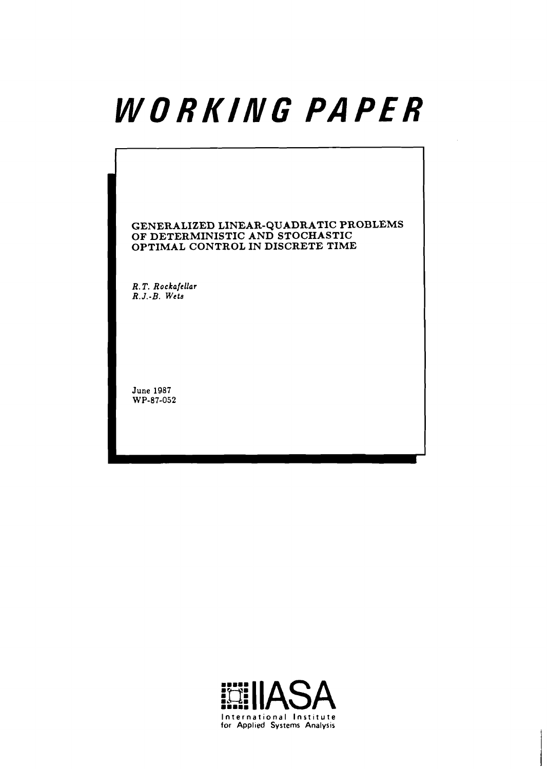# WORKING PAPER

**GENERALIZED LINEAR-QUADRATIC PROBLEMS OF DETERMINISTIC AND STOCHASTIC OPTIMAL CONTROL IN DISCRETE TIME** 

**R. T. Rockafellar R. J.-B. Wets** 

**June 1987 WP-87-052** 

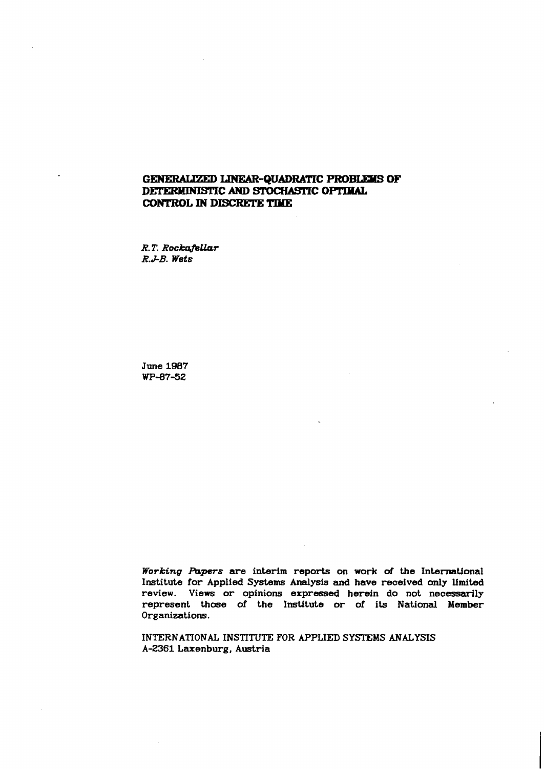# **GENERALIZED LINEAR-QUADRATIC PROBLEMS OF DETERMINISTIC AND STOCHASTIC OPTIMAL CONTROL IN DISCRETE** TmE

 $R$ . T. Rockafellar *R.J-B. Wets* 

**June 1987 WP-87-52** 

*Working Papers* are interim reports on work of the International **Institute for Applied Systems Analysis and have received only limited review. Views or opinions expressed herein do not necessarily represent those of the Institute or of its National Member Organizations.** 

INTERNATIONAL INSTITUTE FOR APPLIED SYSTEMS ANALYSIS **A-2361 Laxenburg, Austria**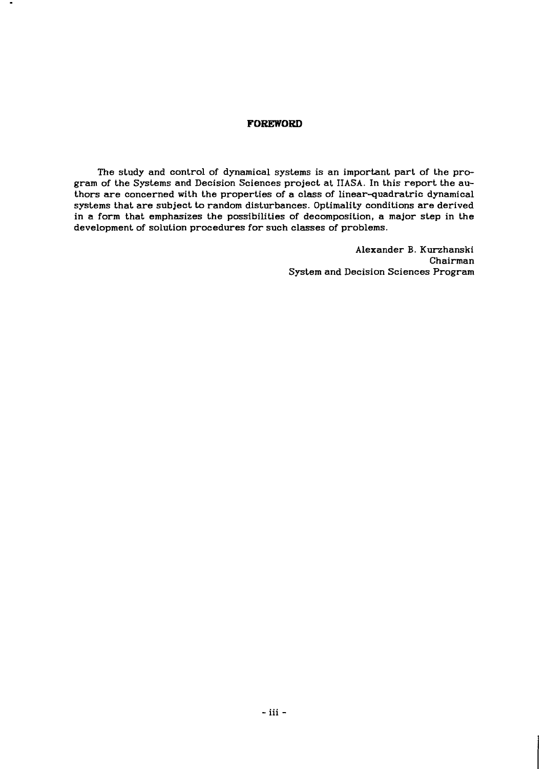#### **FOREWORD**

The study and control of dynamical systems is an important part of the program of the Systems and Decision Sciences project at IIASA. In this report the authors are concerned with the properties of a class of linear-quadratric dynamical systems that are subject to random disturbances. Optimality conditions are derived in a form that emphasizes the possibilities of decomposition, a major step in the development of solution procedures for such classes of problems.

> Alexander B. Kurzhanski Chairman System and Decision Sciences Program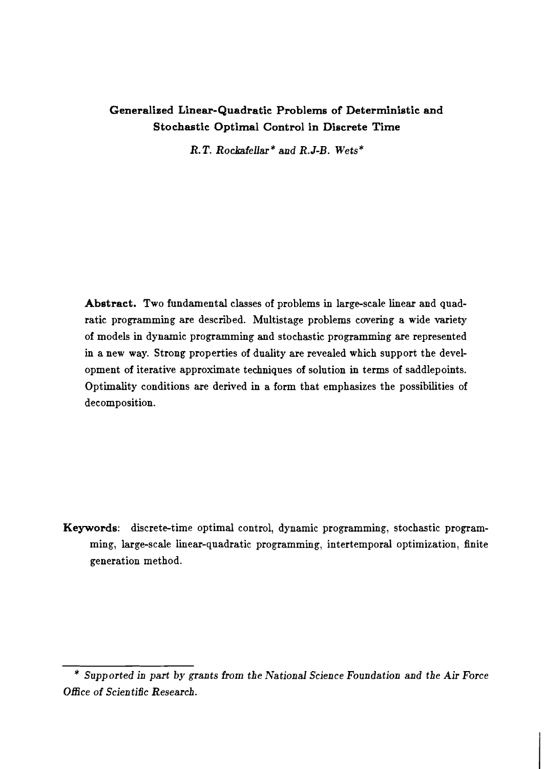# Generalized Linear-Quadratic Problems of Deterministic and Stochastic Optimal Control in Discrete Time

R. T. Rockafellar " and *R.J-B.* Wets"

Abstract. Two fundamental classes of problems in large-scale linear and quadratic programming are described. Multistage problems covering a wide variety of models in dynamic programming and stochastic programming are represented in a new way. Strong properties of duality are revealed which support the development of iterative approximate techniques of solution in terms of saddlepoints. Optimality conditions are derived in a form that emphasizes the possibilities of decomposition.

Keywords: discrete-time optimal control, dynamic programming, stochastic programming, large-scale linear-quadratic programming, intertemporal optimization, finite generation method.

<sup>&</sup>quot; Supported in part by grants from the National Science Foundation and the Air Force Office of Scientific Research.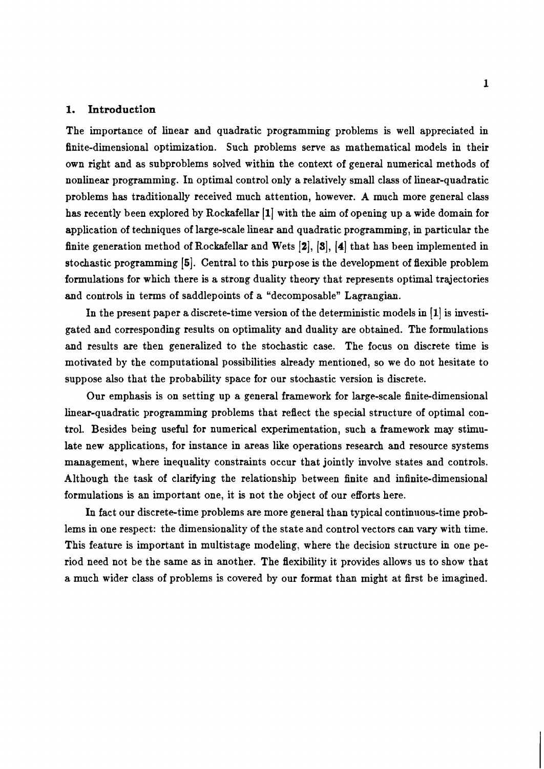#### **1. Introduction**

The importance of linear and quadratic programming problems is well appreciated in finite-dimensional optimization. Such problems serve as mathematical models in their own right and as subproblems solved within the context of general numerical methods of nonlinear programming. In optimal control only a relatively small class of linear-quadratic problems has traditionally received much attention, however. **A** much more general class has recently been explored by Rockafellar **[I]** with the aim of opening up a wide domain for application of techniques of large-scale linear and quadratic programming, in particular the finite generation method of Rockafellar and Wets [2], [3], [4] that has been implemented in stochastic programming [5]. Central to this purpose is the development of flexible problem formulations for which there is a strong duality theory that represents optimal trajectories and controls in terms of saddlepoints of a "decomposable" Lagrangian.

In the present paper a discrete-time version of the deterministic models in [1] is investigated and corresponding results on optimality and duality are obtained. The formulations and results are then generalized to the stochastic case. The focus on discrete time is motivated by the computational possibilities already mentioned, so we do not hesitate to suppose also that the probability space for our stochastic version is discrete.

Our emphasis is on setting up a general framework for large-scale finite-dimensional linear-quadratic programming problems that reflect the special structure of optimal control. Besides being useful for numerical experimentation, such **a** framework may stimulate new applications, for instance in areas like operations research and resource systems management, where inequality constraints occur that jointly involve states and controls. Although the task of clarifying the relationship between finite and infinite-dimensional formulations is an important one, it is not the object of our efforts here.

In fact our discrete-time problems are more general than typical continnous-time problems in one respect: the dimensionality of the state and control vectors can vary with time. This feature is important in multistage modeling, where the decision structure in one period need not be the same as in another. The flexibility it provides allows us to show that a much wider class of problems is covered by our format than might at first be imagined.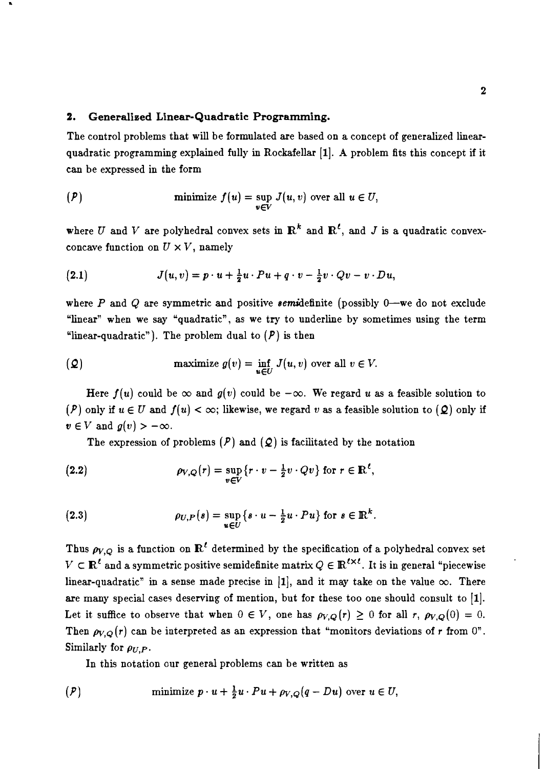## 2. Generalized Linear- Quadratic Programming.

The control problems that will be formulated are based on a concept of generalized linearquadratic programming explained fully in Rockafellar [I]. **A** problem fits this concept if it can be expressed in the form

$$
(P) \qquad \qquad \text{minimize} \ f(u) = \sup_{v \in V} J(u,v) \text{ over all } u \in U,
$$

where U and V are polyhedral convex sets in  $\mathbb{R}^k$  and  $\mathbb{R}^l$ , and J is a quadratic convexconcave function on  $U \times V$ , namely

(2.1) 
$$
J(u,v) = p \cdot u + \frac{1}{2}u \cdot Pu + q \cdot v - \frac{1}{2}v \cdot Qv - v \cdot Du,
$$

where  $P$  and  $Q$  are symmetric and positive *semidefinite* (possibly 0—we do not exclude "linear" when we say "quadratic", as we try to underline by sometimes using the term "linear-quadratic"). The problem dual to  $(P)$  is then

(2) maximize 
$$
g(v) = \inf_{u \in U} J(u, v)
$$
 over all  $v \in V$ .

Here  $f(u)$  could be  $\infty$  and  $g(v)$  could be  $-\infty$ . We regard u as a feasible solution to (P) only if  $u \in U$  and  $f(u) < \infty$ ; likewise, we regard v as a feasible solution to (Q) only if  $v \in V$  and  $g(v) > -\infty$ .

The expression of problems  $(P)$  and  $(Q)$  is facilitated by the notation

(2.2) 
$$
\rho_{V,Q}(r) = \sup_{v \in V} \{r \cdot v - \frac{1}{2}v \cdot Qv\} \text{ for } r \in \mathbb{R}^{\ell}.
$$

(2.3) 
$$
\rho_{U,P}(s) = \sup_{u \in U} \{s \cdot u - \frac{1}{2}u \cdot Pu\} \text{ for } s \in \mathbb{R}^k.
$$

Thus  $\rho_{V,Q}$  is a function on  $\mathbb{R}^{\ell}$  determined by the specification of a polyhedral convex set  $V \subset \mathbb{R}^{\ell}$  and a symmetric positive semidefinite matrix  $Q \in \mathbb{R}^{\ell \times \ell}$ . It is in general "piecewise linear-quadratic" in a sense made precise in [1], and it may take on the value  $\infty$ . There are many special cases deserving of mention, but for these too one should consult to  $[1]$ . Let it suffice to observe that when  $0 \in V$ , one has  $\rho_{V,Q}(r) \geq 0$  for all r,  $\rho_{V,Q}(0) = 0$ . Then  $\rho_{V,Q}(r)$  can be interpreted as an expression that "monitors deviations of r from 0". Similarly for  $\rho_{U,P}$ .

In this notation our general problems can be written as

$$
(P) \qquad \qquad \text{minimize } p \cdot u + \frac{1}{2}u \cdot Pu + \rho_{V,Q}(q - Du) \text{ over } u \in U,
$$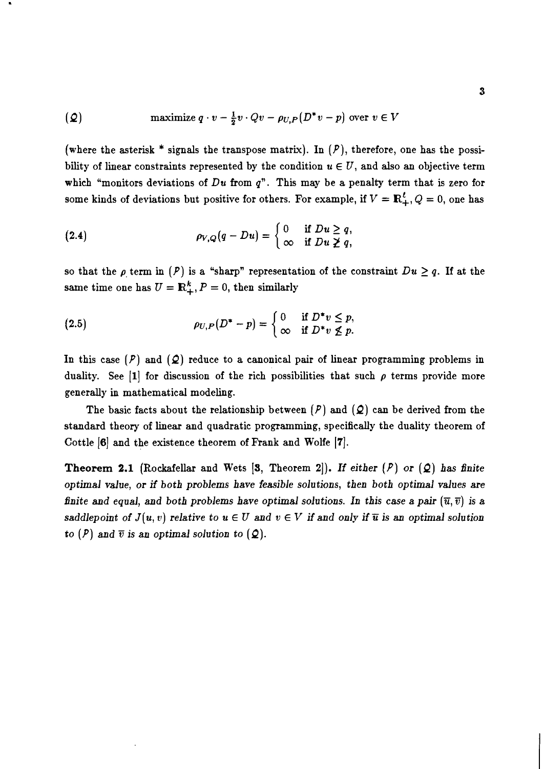(2) maximize 
$$
q \cdot v - \frac{1}{2}v \cdot Qv - \rho_{U,P}(D^*v - p)
$$
 over  $v \in V$ 

(where the asterisk \* signals the transpose matrix). In  $(P)$ , therefore, one has the possibility of linear constraints represented by the condition  $u \in U$ , and also an objective term which "monitors deviations of  $Du$  from  $q$ ". This may be a penalty term that is zero for some kinds of deviations but positive for others. For example, if  $V = \mathbb{R}^l_+$ ,  $Q = 0$ , one has

(2.4) 
$$
\rho_{V,Q}(q-Du)=\begin{cases} 0 & \text{if } Du \geq q, \\ \infty & \text{if } Du \not\geq q, \end{cases}
$$

so that the  $\rho$  term in  $(P)$  is a "sharp" representation of the constraint  $Du \geq q$ . If at the same time one has  $U = \mathbb{R}^k_+$ ,  $P = 0$ , then similarly

(2.5) 
$$
\rho_{U,P}(D^*-p)=\begin{cases} 0 & \text{if } D^*v \leq p, \\ \infty & \text{if } D^*v \not\leq p. \end{cases}
$$

In this case  $(P)$  and  $(Q)$  reduce to a canonical pair of linear programming problems in duality. See  $\begin{bmatrix} 1 \end{bmatrix}$  for discussion of the rich possibilities that such  $\rho$  terms provide more generally in mathematical modeling.

The basic facts about the relationship between  $(P)$  and  $(Q)$  can be derived from the standard theory of linear and quadratic programming, specifically the duality theorem of Cottle [6] and the existence theorem of Frank and Wolfe [7].

**Theorem 2.1** (Rockafellar and Wets  $[3,$  Theorem 2.). If either  $(P)$  or  $(Q)$  has finite **optimal value, or if both problems have feasible solutions, then both optimal values are finite and equal, and both problems have optimal solutions. In this case a pair**  $(\overline{u}, \overline{v})$  **is a saddlepoint of**  $J(u, v)$  **relative to**  $u \in U$  **and**  $v \in V$  **if and only if**  $\overline{u}$  **is an optimal solution to**  $(P)$  and  $\overline{v}$  is an optimal solution to  $(Q)$ .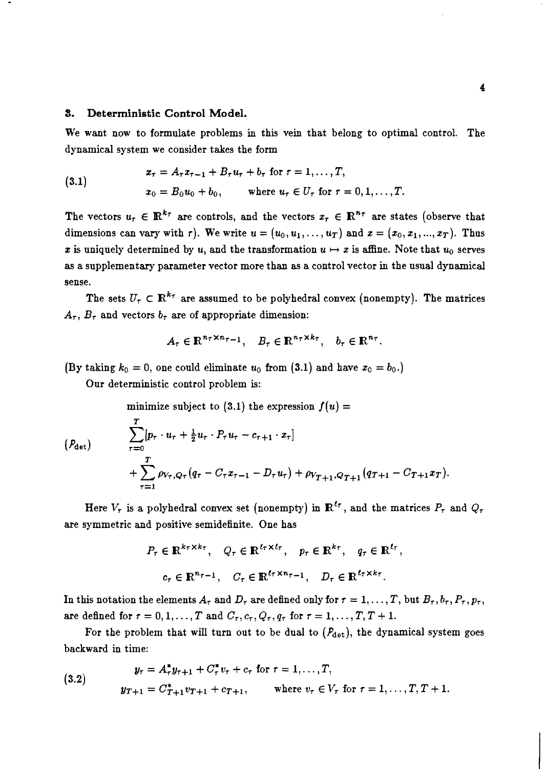#### **5. Deterministic Control Model.**

We want now to formulate problems in this vein that belong to optimal control. The dynamical system we consider takes the form

(3.1) 
$$
x_{\tau} = A_{\tau} x_{\tau-1} + B_{\tau} u_{\tau} + b_{\tau} \text{ for } \tau = 1, ..., T,
$$

$$
x_0 = B_0 u_0 + b_0, \quad \text{where } u_{\tau} \in U_{\tau} \text{ for } \tau = 0, 1, ..., T.
$$

The vectors  $u_{\tau} \in \mathbb{R}^{k_{\tau}}$  are controls, and the vectors  $x_{\tau} \in \mathbb{R}^{n_{\tau}}$  are states (observe that dimensions can vary with r). We write  $u = (u_0, u_1, \ldots, u_T)$  and  $x = (x_0, x_1, \ldots, x_T)$ . Thus x is uniquely determined by u, and the transformation  $u \mapsto x$  is affine. Note that  $u_0$  serves as a supplementary parameter vector more than as a control vector in the usual dynarnical sense.

The sets  $U_{\tau} \subset \mathbb{R}^{k_{\tau}}$  are assumed to be polyhedral convex (nonempty). The matrices  $A_{\tau}$ ,  $B_{\tau}$  and vectors  $b_{\tau}$  are of appropriate dimension:

$$
A_{\tau} \in \mathbb{R}^{n_{\tau} \times n_{\tau-1}}, \quad B_{\tau} \in \mathbb{R}^{n_{\tau} \times k_{\tau}}, \quad b_{\tau} \in \mathbb{R}^{n_{\tau}}.
$$

(By taking  $k_0 = 0$ , one could eliminate  $u_0$  from (3.1) and have  $x_0 = b_0$ .)

Our deterministic control problem is:

minimize subject to  $(3.1)$  the expression  $f(u) =$ 

$$
(P_{\det}) \qquad \sum_{\tau=0}^{T} [p_{\tau} \cdot u_{\tau} + \frac{1}{2} u_{\tau} \cdot P_{\tau} u_{\tau} - c_{\tau+1} \cdot x_{\tau}] + \sum_{\tau=1}^{T} \rho_{V_{\tau}, Q_{\tau}} (q_{\tau} - C_{\tau} x_{\tau-1} - D_{\tau} u_{\tau}) + \rho_{V_{T+1}, Q_{T+1}} (q_{T+1} - C_{T+1} x_{T}).
$$

Here  $V_{\tau}$  is a polyhedral convex set (nonempty) in  $\mathbb{R}^{\ell_{\tau}}$ , and the matrices  $P_{\tau}$  and  $Q_{\tau}$ are symmetric and positive semidefinite. One has

$$
P_{\tau} \in \mathbb{R}^{k_{\tau} \times k_{\tau}}, \quad Q_{\tau} \in \mathbb{R}^{\ell_{\tau} \times \ell_{\tau}}, \quad p_{\tau} \in \mathbb{R}^{k_{\tau}}, \quad q_{\tau} \in \mathbb{R}^{\ell_{\tau}},
$$

$$
c_{\tau} \in \mathbb{R}^{n_{\tau-1}}, \quad C_{\tau} \in \mathbb{R}^{\ell_{\tau} \times n_{\tau-1}}, \quad D_{\tau} \in \mathbb{R}^{\ell_{\tau} \times k_{\tau}}.
$$

In this notation the elements  $A_\tau$  and  $D_\tau$  are defined only for  $\tau = 1, \ldots, T$ , but  $B_\tau, b_\tau, P_\tau, p_\tau$ , are defined for  $\tau = 0, 1, \ldots, T$  and  $C_{\tau}, c_{\tau}, Q_{\tau}, q_{\tau}$  for  $\tau = 1, \ldots, T, T + 1$ .

For the problem that will turn out to be dual to  $(P_{\det})$ , the dynamical system goes backward in time:

(3.2) 
$$
y_{\tau} = A_{\tau}^* y_{\tau+1} + C_{\tau}^* v_{\tau} + c_{\tau} \text{ for } \tau = 1, ..., T,
$$

$$
y_{T+1} = C_{T+1}^* v_{T+1} + c_{T+1}, \qquad \text{where } v_{\tau} \in V_{\tau} \text{ for } \tau = 1, ..., T, T+1.
$$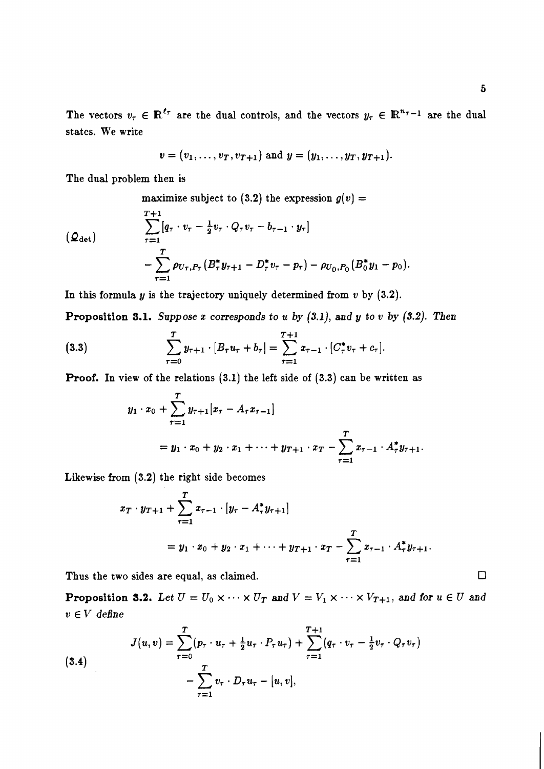$$
v = (v_1, \ldots, v_T, v_{T+1})
$$
 and  $y = (y_1, \ldots, y_T, y_{T+1}).$ 

The dual problem then is

maximize subject to (3.2) the expression  $g(v) =$ 

$$
\sum_{\tau=1}^{T+1} [q_{\tau} \cdot v_{\tau} - \frac{1}{2} v_{\tau} \cdot Q_{\tau} v_{\tau} - b_{\tau-1} \cdot y_{\tau}]
$$
  
- 
$$
\sum_{\tau=1}^{T} \rho_{U_{\tau}, P_{\tau}} (B_{\tau}^{*} y_{\tau+1} - D_{\tau}^{*} v_{\tau} - p_{\tau}) - \rho_{U_{0}, P_{0}} (B_{0}^{*} y_{1} - p_{0}).
$$

In this formula  $y$  is the trajectory uniquely determined from  $v$  by  $(3.2)$ .

**Proposition 3.1.** Suppose  $x$  corresponds to  $u$  by  $(3.1)$ , and  $y$  to  $v$  by  $(3.2)$ . Then

(3.3) 
$$
\sum_{\tau=0}^{T} y_{\tau+1} \cdot [B_{\tau} u_{\tau} + b_{\tau}] = \sum_{\tau=1}^{T+1} x_{\tau-1} \cdot [C_{\tau}^{*} v_{\tau} + c_{\tau}].
$$

**Proof.** In view of the relations **(3.1)** the left side of **(3.3)** can be written as

$$
y_1 \cdot x_0 + \sum_{\tau=1}^T y_{\tau+1} [x_{\tau} - A_{\tau} x_{\tau-1}]
$$
  
=  $y_1 \cdot x_0 + y_2 \cdot x_1 + \cdots + y_{T+1} \cdot x_T - \sum_{\tau=1}^T x_{\tau-1} \cdot A_{\tau}^* y_{\tau+1}.$ 

Likewise from **(3.2)** the right side becomes

$$
x_T \cdot y_{T+1} + \sum_{\tau=1}^T x_{\tau-1} \cdot [y_{\tau} - A_{\tau}^* y_{\tau+1}]
$$
  
=  $y_1 \cdot x_0 + y_2 \cdot x_1 + \dots + y_{T+1} \cdot x_T - \sum_{\tau=1}^T x_{\tau-1} \cdot A_{\tau}^* y_{\tau+1}.$ 

Thus the two sides are equal, as claimed.

**Proposition 3.2.** Let  $U = U_0 \times \cdots \times U_T$  and  $V = V_1 \times \cdots \times V_{T+1}$ , and for  $u \in U$  and  $v \in V$  *define* 

(3.4)  

$$
J(u,v) = \sum_{\tau=0}^{T} (p_{\tau} \cdot u_{\tau} + \frac{1}{2} u_{\tau} \cdot P_{\tau} u_{\tau}) + \sum_{\tau=1}^{T+1} (q_{\tau} \cdot v_{\tau} - \frac{1}{2} v_{\tau} \cdot Q_{\tau} v_{\tau}) - \sum_{\tau=1}^{T} v_{\tau} \cdot D_{\tau} u_{\tau} - [u, v],
$$

 $\Box$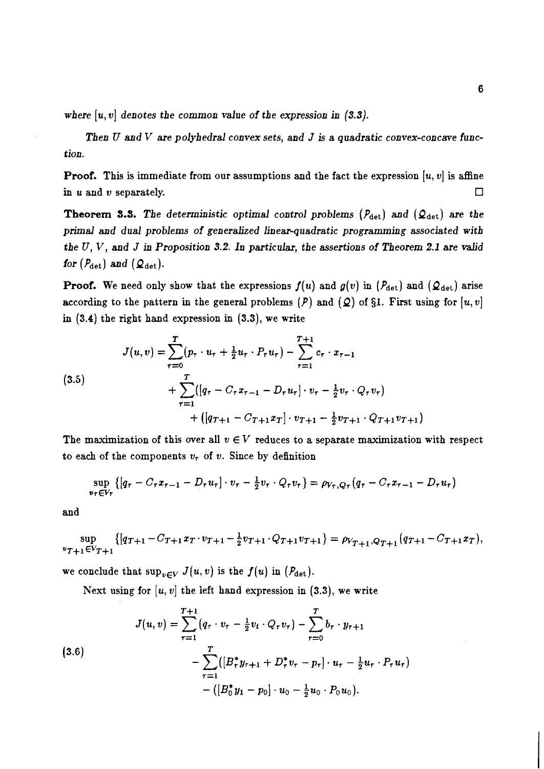where  $[u, v]$  denotes the common value of the expression in  $(3.3)$ .

*Then U and V are polyhedral convex sets, and J is a quadratic convex-concave function.* 

**Proof.** This is immediate from our assumptions and the fact the expression  $[u, v]$  is affine in *u* and *v* separately.  $\Box$ 

**Theorem 3.3.** *The deterministic optimal control problems (Pdet) and (Qdet) are the*  primal and dual problems of generalized linear-quadratic programming associated with *the U, V, and J in Proposition* **3.2.** *In particular, the assertions of Theorem* **2.1** *are valid for*  $(P_{\text{det}})$  *and*  $(Q_{\text{det}})$ .

**Proof.** We need only show that the expressions  $f(u)$  and  $g(v)$  in  $(P_{\text{det}})$  and  $(Q_{\text{det}})$  arise according to the pattern in the general problems  $(P)$  and  $(Q)$  of §1. First using for  $[u, v]$ in *(3.4)* the right hand expression in *(3.3),* we write

(3.5)  

$$
J(u, v) = \sum_{\tau=0}^{T} (p_{\tau} \cdot u_{\tau} + \frac{1}{2} u_{\tau} \cdot P_{\tau} u_{\tau}) - \sum_{\tau=1}^{T+1} c_{\tau} \cdot x_{\tau-1}
$$

$$
+ \sum_{\tau=1}^{T} ([q_{\tau} - C_{\tau} x_{\tau-1} - D_{\tau} u_{\tau}] \cdot v_{\tau} - \frac{1}{2} v_{\tau} \cdot Q_{\tau} v_{\tau})
$$

$$
+ ([q_{T+1} - C_{T+1} x_{T}] \cdot v_{T+1} - \frac{1}{2} v_{T+1} \cdot Q_{T+1} v_{T+1})
$$

The maximization of this over all  $v \in V$  reduces to a separate maximization with respect to each of the components  $v<sub>r</sub>$  of  $v$ . Since by definition

$$
\sup_{v_{\tau}\in V_{\tau}}\left\{ \left[q_{\tau}-C_{\tau}x_{\tau-1}-D_{\tau}u_{\tau}\right]\cdot v_{\tau}-\frac{1}{2}v_{\tau}\cdot Q_{\tau}v_{\tau}\right\} =\rho_{V_{\tau},Q_{\tau}}\left(q_{\tau}-C_{\tau}x_{\tau-1}-D_{\tau}u_{\tau}\right)
$$

and

$$
\sup_{v_{T+1} \in V_{T+1}} \{ [q_{T+1} - C_{T+1} x_T \cdot v_{T+1} - \frac{1}{2} v_{T+1} \cdot Q_{T+1} v_{T+1} ] = \rho_{V_{T+1}, Q_{T+1}} (q_{T+1} - C_{T+1} x_T),
$$

we conclude that  $\sup_{v \in V} J(u, v)$  is the  $f(u)$  in  $(P_{\det})$ .

Next using for  $[u, v]$  the left hand expression in  $(3.3)$ , we write

(3.6)  

$$
J(u, v) = \sum_{\tau=1}^{T+1} (q_{\tau} \cdot v_{\tau} - \frac{1}{2}v_t \cdot Q_{\tau}v_{\tau}) - \sum_{\tau=0}^{T} b_{\tau} \cdot y_{\tau+1} - \sum_{\tau=1}^{T} ([B_{\tau}^* y_{\tau+1} + D_{\tau}^* v_{\tau} - p_{\tau}] \cdot u_{\tau} - \frac{1}{2} u_{\tau} \cdot P_{\tau} u_{\tau}) - ([B_0^* y_1 - p_0] \cdot u_0 - \frac{1}{2} u_0 \cdot P_0 u_0).
$$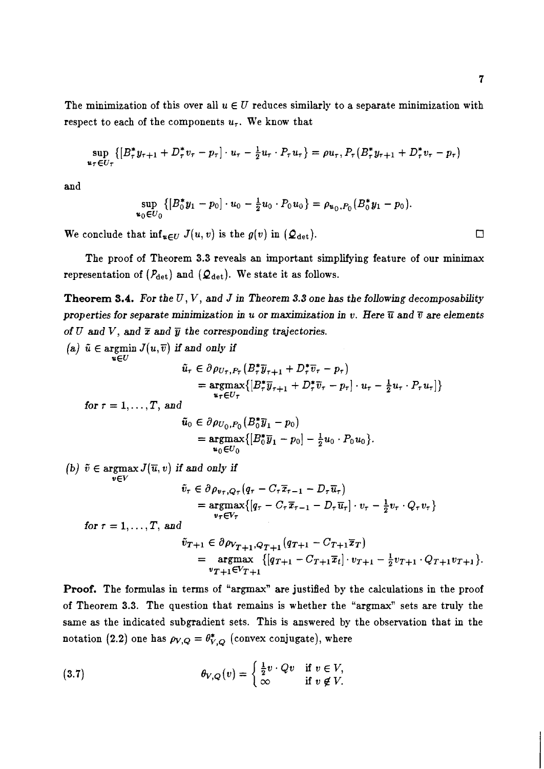$\Box$ 

The minimization of this over all  $u \in U$  reduces similarly to a separate minimization with respect to each of the components  $u_{\tau}$ . We know that

$$
\sup_{u_{\tau} \in U_{\tau}} \{ [B_{\tau}^{*} y_{\tau+1} + D_{\tau}^{*} v_{\tau} - p_{\tau}] \cdot u_{\tau} - \frac{1}{2} u_{\tau} \cdot P_{\tau} u_{\tau} \} = \rho u_{\tau}, P_{\tau} (B_{\tau}^{*} y_{\tau+1} + D_{\tau}^{*} v_{\tau} - p_{\tau})
$$

and

$$
\sup_{u_0 \in U_0} \left\{ \left[ B_0^* y_1 - p_0 \right] \cdot u_0 - \frac{1}{2} u_0 \cdot P_0 u_0 \right\} = \rho_{u_0, P_0} (B_0^* y_1 - p_0)
$$

We conclude that  $\inf_{u\in U} J(u, v)$  is the  $g(v)$  in  $(\mathcal{Q}_{\det}).$ 

The proof of Theorem **3.3** reveals an important simplifying feature of our minimax representation of  $(P_{\text{det}})$  and  $(Q_{\text{det}})$ . We state it as follows.

**Theorem 3.4.** *For the* U, V, *and* J *in Theorem 3.3 one has the following decomposability properties for separate minimization in u or maximization in v. Here*  $\overline{u}$  *and*  $\overline{v}$  *are elements of U and V, and*  $\bar{x}$  *and*  $\bar{y}$  *the corresponding trajectories.* 

(a) 
$$
\tilde{u} \in \operatorname{argmin}_{u \in U} J(u, \overline{v})
$$
 if and only if  
\n
$$
\tilde{u}_{\tau} \in \partial \rho_{U_{\tau}, P_{\tau}} (B_{\tau}^{*} \overline{y}_{\tau+1} + D_{\tau}^{*} \overline{v}_{\tau} - p_{\tau})
$$
\n
$$
= \operatorname*{argmax}_{u_{\tau} \in U_{\tau}} \{ [B_{\tau}^{*} \overline{y}_{\tau+1} + D_{\tau}^{*} \overline{v}_{\tau} - p_{\tau}] \cdot u_{\tau} - \frac{1}{2} u_{\tau} \cdot P_{\tau} u_{\tau}] \}
$$
\nfor  $\tau = 1, ..., T$ , and  
\n
$$
\tilde{u}_{0} \in \partial \rho_{U_{0}, P_{0}} (B_{0}^{*} \overline{y}_{1} - p_{0})
$$
\n
$$
= \operatorname*{argmax}_{u_{0} \in U_{0}} \{ [B_{0}^{*} \overline{y}_{1} - p_{0}] - \frac{1}{2} u_{0} \cdot P_{0} u_{0} \}.
$$
\n(b)  $\tilde{v} \in \operatorname*{argmax}_{v \in V} J(\overline{u}, v)$  if and only if  
\n
$$
\tilde{v}_{\tau} \in \partial \rho_{v_{\tau}, Q_{\tau}} (q_{\tau} - C_{\tau} \overline{x}_{\tau-1} - D_{\tau} \overline{u}_{\tau})
$$
\n
$$
= \operatorname*{argmax}_{v_{\tau} \in V_{\tau}} \{ [q_{\tau} - C_{\tau} \overline{x}_{\tau-1} - D_{\tau} \overline{u}_{\tau}] \cdot v_{\tau} - \frac{1}{2} v_{\tau} \cdot Q_{\tau} v_{\tau} \}
$$
\nfor  $\tau = 1, ..., T$ , and  
\n
$$
\tilde{v}_{T+1} \in \partial \rho_{V_{T+1}, Q_{T+1}} (q_{T+1} - C_{T+1} \overline{x}_{T})
$$
\n
$$
= \operatorname*{argmax}_{v_{T+1} \in V_{T+1}} \{ [q_{T+1} - C_{T+1} \overline{x}_{\tau}] \cdot v_{T+1} - \frac{1}{2} v_{T+1} \cdot Q_{T+1} v_{T+1} \}
$$

**Proof.** The formulas in terms of "argmax" are justified by the calculations in the proof of Theorem **3.3.** The question that remains is whether the "argmax" sets are truly the same as the indicated subgradient sets. This is answered by the observation that in the notation (2.2) one has  $\rho_{V,Q} = \theta_{V,Q}^*$  (convex conjugate), where

(3.7) 
$$
\theta_{V,Q}(v) = \begin{cases} \frac{1}{2}v \cdot Qv & \text{if } v \in V, \\ \infty & \text{if } v \notin V. \end{cases}
$$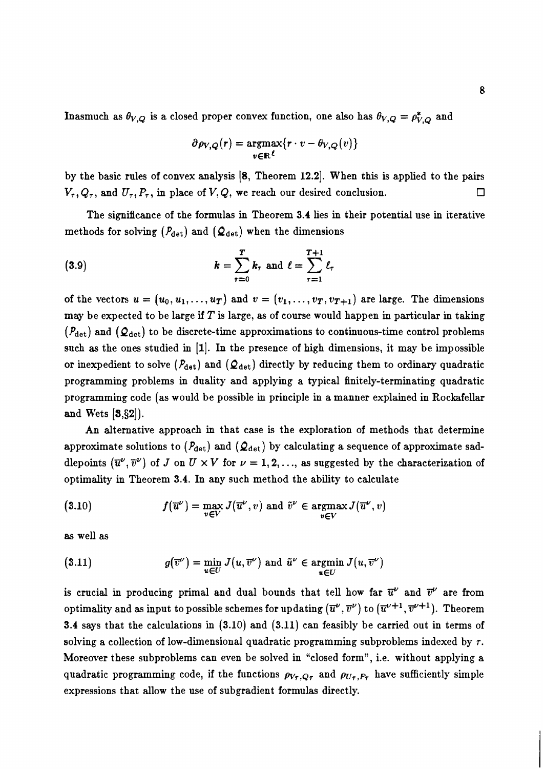Inasmuch as  $\theta_{V,Q}$  is a closed proper convex function, one also has  $\theta_{V,Q} = \rho_{V,Q}^*$  and

$$
\partial \rho_{V,Q}(r) = \underset{v \in \mathbb{R}^{\ell}}{\operatorname{argmax}} \{r \cdot v - \theta_{V,Q}(v)\}
$$

by the basic rules of convex analysis [8, Theorem 12.2]. When this is applied to the pairs  $V_{\tau}$ ,  $Q_{\tau}$ , and  $U_{\tau}$ ,  $P_{\tau}$ , in place of  $V$ ,  $Q$ , we reach our desired conclusion. □

The significance of the formulas in Theorem 3.4 lies in their potential use in iterative methods for solving  $(P_{\text{det}})$  and  $(Q_{\text{det}})$  when the dimensions

(3.9) 
$$
k = \sum_{\tau=0}^{T} k_{\tau} \text{ and } \ell = \sum_{\tau=1}^{T+1} \ell_{\tau}
$$

of the vectors  $u = (u_0, u_1, \ldots, u_T)$  and  $v = (v_1, \ldots, v_T, v_{T+1})$  are large. The dimensions may be expected to be large if T is large, **as** of course would happen in particular in taking  $(P_{\text{det}})$  and  $(Q_{\text{det}})$  to be discrete-time approximations to continuous-time control problems such **as** the ones studied in **[I].** In the presence of high dimensions, it may be impossible or inexpedient to solve  $(P_{\text{det}})$  and  $(Q_{\text{det}})$  directly by reducing them to ordinary quadratic programming problems in duality and applying a typical finitely-terminating quadratic programming code (as would be possible in principle in a manner explained in Rockafellar and Wets  $[3, 82]$ .

An alternative approach in that case is the exploration of methods that determine approximate solutions to  $(P_{\text{det}})$  and  $(Q_{\text{det}})$  by calculating a sequence of approximate saddlepoints  $(\overline{u}^{\nu}, \overline{v}^{\nu})$  of J on  $U \times V$  for  $\nu = 1, 2, ...,$  as suggested by the characterization of optimality in Theorem 3.4. In any such method the ability to calculate

(3.10) 
$$
f(\overline{u}^{\nu}) = \max_{v \in V} J(\overline{u}^{\nu}, v) \text{ and } \tilde{v}^{\nu} \in \operatorname*{argmax}_{v \in V} J(\overline{u}^{\nu}, v)
$$

as well as

(3.11) 
$$
g(\overline{v}^{\nu}) = \min_{u \in U} J(u, \overline{v}^{\nu}) \text{ and } \tilde{u}^{\nu} \in \operatorname*{argmin}_{u \in U} J(u, \overline{v}^{\nu})
$$

is crucial in producing primal and dual bounds that tell how far  $\overline{u}^{\nu}$  and  $\overline{v}^{\nu}$  are from optimality and as input to possible schemes for updating  $(\overline{u}^{\nu}, \overline{v}^{\nu})$  to  $(\overline{u}^{\nu+1}, \overline{v}^{\nu+1})$ . Theorem 3.4 says that the calculations in (3.10) and (3.11) can feasibly be carried out in terms of solving a collection of low-dimensional quadratic programming subproblems indexed by  $\tau$ . Moreover these subproblems can even be solved in "closed form", i.e. without applying a quadratic programming code, if the functions  $\rho_{V_{\tau},Q_{\tau}}$  and  $\rho_{U_{\tau},P_{\tau}}$  have sufficiently simple expressions that allow the use of subgradient formulas directly.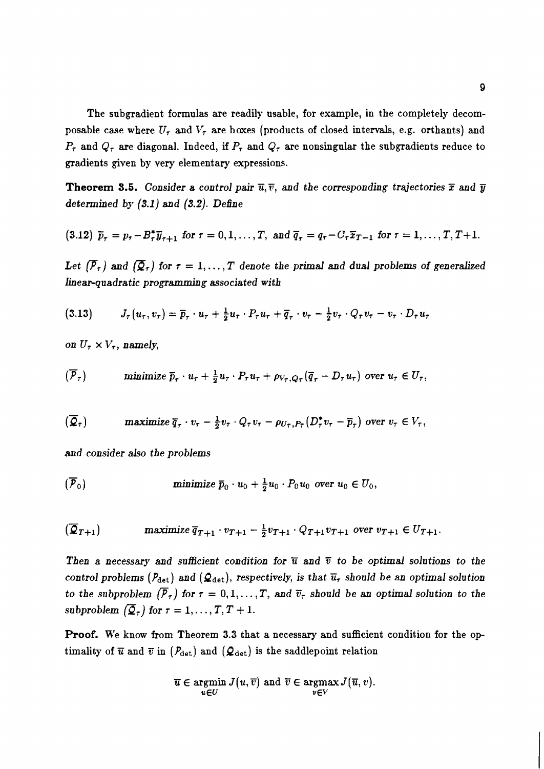The subgradient formulas are readily usable, for example, in the completely decomposable case where  $U_{\tau}$  and  $V_{\tau}$  are boxes (products of closed intervals, e.g. orthants) and  $P_{\tau}$  and  $Q_{\tau}$  are diagonal. Indeed, if  $P_{\tau}$  and  $Q_{\tau}$  are nonsingular the subgradients reduce to gradients given by very elementary expressions.

**Theorem 3.5.** Consider a control pair  $\overline{u}, \overline{v}$ , and the corresponding trajectories  $\overline{x}$  and  $\overline{y}$ determined by  $(3.1)$  and  $(3.2)$ . Define

(3.12) 
$$
\bar{p}_{\tau} = p_{\tau} - B_{\tau}^* \bar{y}_{\tau+1}
$$
 for  $\tau = 0, 1, ..., T$ , and  $\bar{q}_{\tau} = q_{\tau} - C_{\tau} \bar{x}_{T-1}$  for  $\tau = 1, ..., T, T+1$ .

Let  $(\overline{P}_r)$  and  $(\overline{Q}_r)$  for  $r = 1, ..., T$  denote the primal and dual problems of generalized linear-quadratic programming associated with

$$
(3.13) \tJ_{\tau}(u_{\tau},v_{\tau})=\overline{p}_{\tau}\cdot u_{\tau}+\tfrac{1}{2}u_{\tau}\cdot P_{\tau}u_{\tau}+\overline{q}_{\tau}\cdot v_{\tau}-\tfrac{1}{2}v_{\tau}\cdot Q_{\tau}v_{\tau}-v_{\tau}\cdot D_{\tau}u_{\tau}
$$

on  $U_{\tau} \times V_{\tau}$ , namely,

$$
(\overline{P}_{\tau}) \quad \text{minimize } \overline{p}_{\tau} \cdot u_{\tau} + \frac{1}{2} u_{\tau} \cdot P_{\tau} u_{\tau} + \rho_{V_{\tau}, Q_{\tau}} (\overline{q}_{\tau} - D_{\tau} u_{\tau}) \text{ over } u_{\tau} \in U_{\tau},
$$

$$
(\overline{Q}_{\tau}) \quad \text{maximize } \overline{q}_{\tau} \cdot v_{\tau} - \frac{1}{2}v_{\tau} \cdot Q_{\tau}v_{\tau} - \rho_{U_{\tau},P_{\tau}}(D_{\tau}^*v_{\tau} - \overline{p}_{\tau}) \text{ over } v_{\tau} \in V_{\tau},
$$

and consider also the problems

$$
(\overline{P}_0) \quad \text{minimize } \overline{p}_0 \cdot u_0 + \frac{1}{2} u_0 \cdot P_0 u_0 \text{ over } u_0 \in U_0,
$$

$$
(\overline{Q}_{T+1}) \quad \text{maximize } \overline{q}_{T+1} \cdot v_{T+1} - \frac{1}{2}v_{T+1} \cdot Q_{T+1}v_{T+1} \text{ over } v_{T+1} \in U_{T+1}.
$$

Then a necessary and sufficient condition for  $\overline{u}$  and  $\overline{v}$  to be optimal solutions to the control problems ( $P_{\text{det}}$ ) and ( $Q_{\text{det}}$ ), respectively, is that  $\overline{u}_{\tau}$  should be an optimal solution to the subproblem  $(\overline{P}_{\tau})$  for  $\tau = 0, 1, ..., T$ , and  $\overline{v}_{\tau}$  should be an optimal solution to the subproblem  $\left(\overline{\mathcal{Q}}_{\tau}\right)$  for  $\tau = 1, \ldots, T, T + 1$ .

Proof. We know from Theorem 3.3 that a necessary and sufficient condition for the optimality of  $\bar{u}$  and  $\bar{v}$  in ( $P_{\text{det}}$ ) and ( $\mathcal{Q}_{\text{det}}$ ) is the saddlepoint relation

$$
\overline{u} \in \operatorname*{argmin}_{u \in U} J(u, \overline{v}) \text{ and } \overline{v} \in \operatorname*{argmax}_{v \in V} J(\overline{u}, v).
$$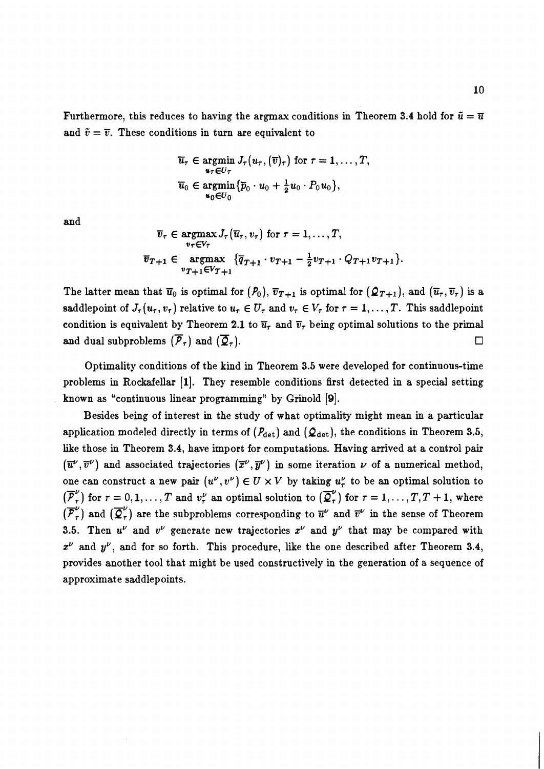Furthermore, this reduces to having the argmax conditions in Theorem 3.4 hold for  $\tilde{u} = \overline{u}$ and  $\tilde{v} = \overline{v}$ . These conditions in turn are equivalent to

$$
\overline{u}_{\tau} \in \underset{u_{\tau} \in U_{\tau}}{\operatorname{argmin}} J_{\tau}(u_{\tau}, (\overline{v})_{\tau}) \text{ for } \tau = 1, \ldots, T,
$$
  

$$
\overline{u}_{0} \in \underset{u_{0} \in U_{0}}{\operatorname{argmin}} {\{\overline{p}_{0} \cdot u_{0} + \frac{1}{2}u_{0} \cdot P_{0}u_{0}\}},
$$

and

$$
\overline{v}_{\tau} \in \underset{v_{\tau} \in V_{\tau}}{\operatorname{argmax}} J_{\tau}(\overline{u}_{\tau}, v_{\tau}) \text{ for } \tau = 1, \dots, T,
$$
\n
$$
\overline{v}_{T+1} \in \underset{v_{T+1} \in V_{T+1}}{\operatorname{argmax}} \{\overline{q}_{T+1} \cdot v_{T+1} - \frac{1}{2}v_{T+1} \cdot Q_{T+1}v_{T+1}\}.
$$

The latter mean that  $\overline{u}_0$  is optimal for  $(P_0)$ ,  $\overline{v}_{T+1}$  is optimal for  $(\mathcal{Q}_{T+1})$ , and  $(\overline{u}_r, \overline{v}_r)$  is a saddlepoint of  $J_{\tau}(u_{\tau}, v_{\tau})$  relative to  $u_{\tau} \in U_{\tau}$  and  $v_{\tau} \in V_{\tau}$  for  $\tau = 1, \ldots, T$ . This saddlepoint condition is equivalent by Theorem 2.1 to  $\overline{u}_{\tau}$  and  $\overline{v}_{\tau}$  being optimal solutions to the primal and dual subproblems  $(\overline{P}_\tau)$  and  $(\overline{Q}_\tau)$ . □

Optimality conditions of the kind in Theorem 3.5 were developed for continuous-time problems in Rockafellar **(I].** They resemble conditions first detected in a special setting known as "continuous linear programming" by Grinold **191.** 

Besides being of interest in the study of what optimality might mean in a particular application modeled directly in terms of  $(P_{\det})$  and  $(Q_{\det})$ , the conditions in Theorem 3.5, like those in Theorem 3.4, have import for computations. Having arrived at a control pair  $(\overline{u}^{\nu},\overline{v}^{\nu})$  and associated trajectories  $(\overline{x}^{\nu},\overline{y}^{\nu})$  in some iteration  $\nu$  of a numerical method, one can construct a new pair  $(u^{\nu}, v^{\nu}) \in U \times V$  by taking  $u^{\nu}_{\tau}$  to be an optimal solution to  $(\overline{P}_\tau^{\nu})$  for  $\tau = 0, 1, ..., T$  and  $v_\tau^{\nu}$  an optimal solution to  $(\overline{Q}_\tau^{\nu})$  for  $\tau = 1, ..., T, T + 1$ , where  $(\overline{P}_\tau^{\nu})$  and  $(\overline{Q}_\tau^{\nu})$  are the subproblems corresponding to  $\overline{u}^{\nu}$  and  $\overline{v}^{\nu}$  in the s 3.5. Then  $u^{\nu}$  and  $v^{\nu}$  generate new trajectories  $x^{\nu}$  and  $y^{\nu}$  that may be compared with  $x^{\nu}$  and  $y^{\nu}$ , and for so forth. This procedure, like the one described after Theorem 3.4, provides another tool that might be used constructively in the generation of a sequence of approximate saddlepoints.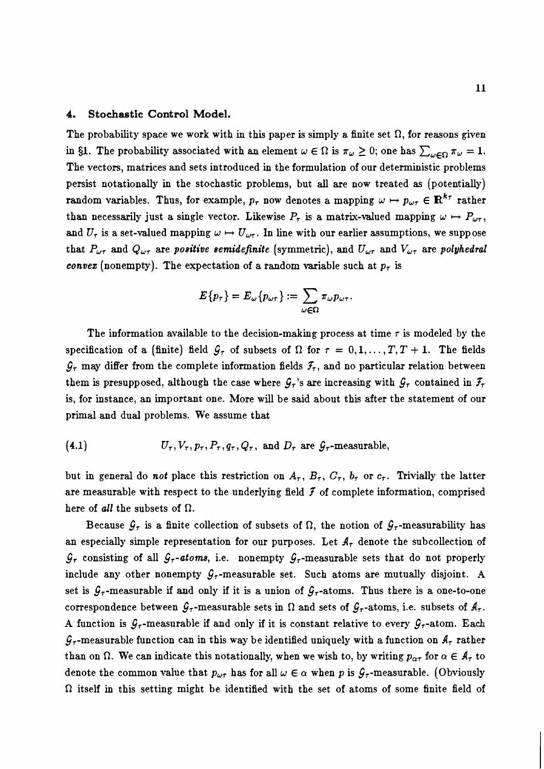#### 4. Stochastic Control Model.

The probability space we work with in this paper is simply a finite set  $\Omega$ , for reasons given in §1. The probability associated with an element  $\omega \in \Omega$  is  $\pi_{\omega} \geq 0$ ; one has  $\sum_{\omega \in \Omega} \pi_{\omega} = 1$ . The vectors, matrices and sets introduced in the formulation of our deterministic problems persist notationally in the stochastic problems, but all are now treated **as** (potentially) random variables. Thus, for example,  $p_{\tau}$  now denotes a mapping  $\omega \mapsto p_{\omega_{\tau}} \in \mathbb{R}^{k_{\tau}}$  rather than necessarily just a single vector. Likewise  $P_{\tau}$  is a matrix-valued mapping  $\omega \mapsto P_{\omega \tau}$ , and  $U_{\tau}$  is a set-valued mapping  $\omega \mapsto U_{\omega\tau}$ . In line with our earlier assumptions, we suppose that  $P_{\omega\tau}$  and  $Q_{\omega\tau}$  are positive semidefinite (symmetric), and  $U_{\omega\tau}$  and  $V_{\omega\tau}$  are polyhedral convez (nonempty). The expectation of a random variable such at  $p_{\tau}$  is

$$
E\{p_\tau\}=E_\omega\{p_{\omega\tau}\}:=\sum_{\omega\in\Omega}\pi_\omega p_{\omega\tau}.
$$

The information available to the decision-making process at time  $\tau$  is modeled by the specification of a (finite) field  $\mathcal{G}_{\tau}$  of subsets of  $\Omega$  for  $\tau = 0, 1, ..., T, T + 1$ . The fields  $\mathcal{G}_{\tau}$  may differ from the complete information fields  $\mathcal{F}_{\tau}$ , and no particular relation between them is presupposed, although the case where  $G_r$ 's are increasing with  $G_r$  contained in  $\mathcal{F}_r$ is, for instance, an important one. More will be said about this after the statement of our primal and dual problems. We assume that

(4.1) 
$$
U_{\tau}, V_{\tau}, p_{\tau}, P_{\tau}, q_{\tau}, Q_{\tau}, \text{ and } D_{\tau} \text{ are } \mathcal{G}_{\tau}\text{-measurable},
$$

but in general do not place this restriction on  $A_{\tau}$ ,  $B_{\tau}$ ,  $C_{\tau}$ ,  $b_{\tau}$  or  $c_{\tau}$ . Trivially the latter are measurable with respect to the underlying field  $\mathcal F$  of complete information, comprised here of all the subsets of  $\Omega$ .

Because  $\mathcal{G}_{\tau}$  is a finite collection of subsets of  $\Omega$ , the notion of  $\mathcal{G}_{\tau}$ -measurability has an especially simple representation for our purposes. Let  $A<sub>\tau</sub>$  denote the subcollection of  $\mathcal{G}_{\tau}$  consisting of all  $\mathcal{G}_{\tau}$ -atoms, i.e. nonempty  $\mathcal{G}_{\tau}$ -measurable sets that do not properly include any other nonempty  $G_{\tau}$ -measurable set. Such atoms are mutually disjoint. A set is  $G<sub>7</sub>$ -measurable if and only if it is a union of  $G<sub>7</sub>$ -atoms. Thus there is a one-to-one correspondence between  $G_{\tau}$ -measurable sets in  $\Omega$  and sets of  $G_{\tau}$ -atoms, i.e. subsets of  $A_{\tau}$ . A function is  $\mathcal{G}_{\tau}$ -measurable if and only if it is constant relative to every  $\mathcal{G}_{\tau}$ -atom. Each  $\mathcal{G}_{\tau}$ -measurable function can in this way be identified uniquely with a function on  $\mathcal{A}_{\tau}$  rather than on  $\Omega$ . We can indicate this notationally, when we wish to, by writing  $p_{\alpha\tau}$  for  $\alpha \in A_{\tau}$  to denote the common value that  $p_{\omega\tau}$  has for all  $\omega \in \alpha$  when p is  $\mathcal{G}_{\tau}$ -measurable. (Obviously  $\Omega$  itself in this setting might be identified with the set of atoms of some finite field of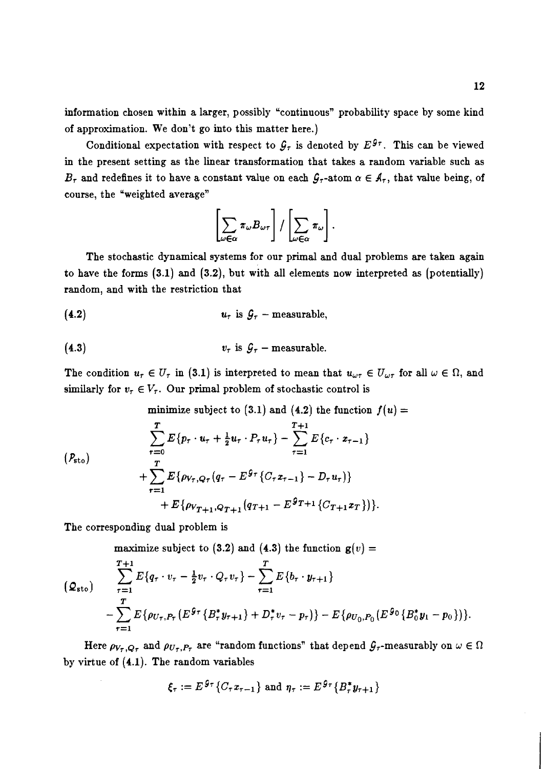information chosen within a larger, possibly "continuous" probability space by some kind of approximation. We don't go into this matter here.)

Conditional expectation with respect to  $\mathcal{G}_{\tau}$  is denoted by  $E^{\mathcal{G}_{\tau}}$ . This can be viewed in the present setting as the linear transformation that takes a random variable such as  $B_{\tau}$  and redefines it to have a constant value on each  $\mathcal{G}_{\tau}$ -atom  $\alpha \in \mathcal{A}_{\tau}$ , that value being, of course, the 'weighted average"

$$
\left[\sum_{\omega \in \alpha} \pi_{\omega} B_{\omega \tau}\right] / \left[\sum_{\omega \in \alpha} \pi_{\omega}\right].
$$

The stochastic dynamical systems for our primal and dual problems are taken again to have the forms (3.1) and (3.2), but with all elements now interpreted as (potentially) random, and with the restriction that

(4.2) 
$$
u_{\tau}
$$
 is  $\mathcal{G}_{\tau}$  – measurable,

(4.3) 
$$
v_{\tau} \text{ is } \mathcal{G}_{\tau} - \text{measurable.}
$$

The condition  $u_{\tau} \in U_{\tau}$  in (3.1) is interpreted to mean that  $u_{\omega\tau} \in U_{\omega\tau}$  for all  $\omega \in \Omega$ , and similarly for  $v_{\tau} \in V_{\tau}$ . Our primal problem of stochastic control is

minimize subject to (3.1) and (4.2) the function 
$$
f(u) = \sum_{\tau=0}^{T} E\{p_{\tau} \cdot u_{\tau} + \frac{1}{2}u_{\tau} \cdot P_{\tau}u_{\tau}\} - \sum_{\tau=1}^{T+1} E\{c_{\tau} \cdot x_{\tau-1}\}\
$$
  
+  $\sum_{\tau=1}^{T} E\{\rho_{V_{\tau},Q_{\tau}}(q_{\tau} - E^{\theta_{\tau}}\{C_{\tau}x_{\tau-1}\} - D_{\tau}u_{\tau})\} + E\{\rho_{V_{T+1},Q_{T+1}}(q_{T+1} - E^{\theta_{T+1}}\{C_{T+1}x_{T}\})\}.$ 

The corresponding dual problem is

maximize subject to (3.2) and (4.3) the function  $g(v) =$ 

$$
\sum_{\tau=1}^{T+1} E\{q_{\tau} \cdot v_{\tau} - \frac{1}{2}v_{\tau} \cdot Q_{\tau}v_{\tau}\} - \sum_{\tau=1}^{T} E\{b_{\tau} \cdot y_{\tau+1}\}\n- \sum_{\tau=1}^{T} E\{\rho_{U_{\tau},P_{\tau}}(E^{g_{\tau}}\{B_{\tau}^{*}y_{\tau+1}\} + D_{\tau}^{*}v_{\tau} - p_{\tau})\} - E\{\rho_{U_{0},P_{0}}(E^{g_{0}}\{B_{0}^{*}y_{1} - p_{0}\})\}.
$$

Here  $\rho_{V_{\tau},Q_{\tau}}$  and  $\rho_{U_{\tau},P_{\tau}}$  are "random functions" that depend  $\mathcal{G}_{\tau}$ -measurably on  $\omega \in \Omega$ by virtue of (4.1). The random variables

$$
\xi_{\tau} := E^{g_{\tau}} \{ C_{\tau} x_{\tau-1} \} \text{ and } \eta_{\tau} := E^{g_{\tau}} \{ B_{\tau}^* y_{\tau+1} \}
$$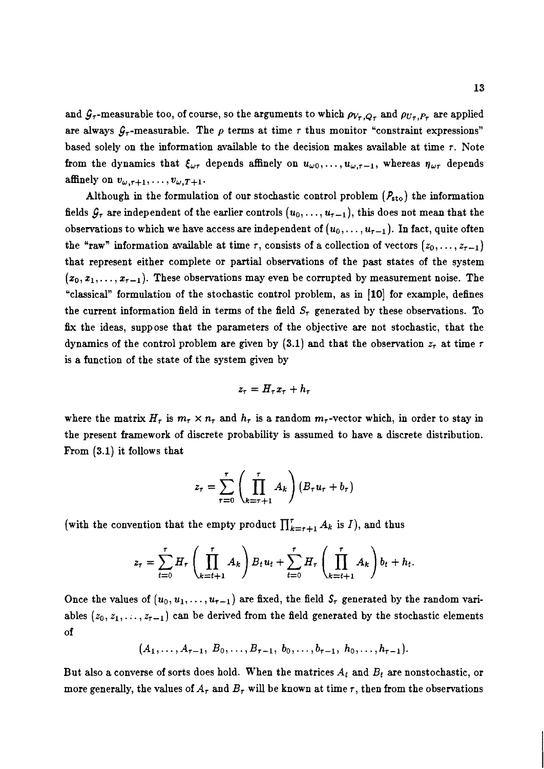and  $\mathcal{G}_{\tau}$ -measurable too, of course, so the arguments to which  $\rho_{V_{\tau},Q_{\tau}}$  and  $\rho_{U_{\tau},P_{\tau}}$  are applied are always  $G_{\tau}$ -measurable. The  $\rho$  terms at time  $\tau$  thus monitor "constraint expressions" based solely on the information available to the decision makes available at time  $\tau$ . Note from the dynamics that  $\xi_{\omega\tau}$  depends affinely on  $u_{\omega 0}, \ldots, u_{\omega,\tau-1}$ , whereas  $\eta_{\omega\tau}$  depends affinely on  $v_{\omega,\tau+1}, \ldots, v_{\omega,T+1}.$ 

Although in the formulation of our stochastic control problem  $(P_{\text{sto}})$  the information fields  $\mathcal{G}_{\tau}$  are independent of the earlier controls  $(u_0, \ldots, u_{\tau-1})$ , this does not mean that the observations to which we have access are independent of  $(u_0,\ldots,u_{\tau-1})$ . In fact, quite often the "raw" information available at time r, consists of a collection of vectors  $(z_0, \ldots, z_{\tau-1})$ that represent either complete or partial observations of the past states of the system  $(x_0, x_1, \ldots, x_{\tau-1})$ . These observations may even be corrupted by measurement noise. The "classical" formulation of the stochastic control problem, as in **[lo]** for example, defines the current information field in terms of the field  $S<sub>\tau</sub>$  generated by these observations. To fix the ideas, suppose that the parameters of the objective are not stochastic, that the dynamics of the control problem are given by  $(3.1)$  and that the observation  $z<sub>r</sub>$  at time  $r$ is a function of the state of the system given by

$$
z_\tau = H_\tau x_\tau + h_\tau
$$

where the matrix  $H_{\tau}$  is  $m_{\tau} \times n_{\tau}$  and  $h_{\tau}$  is a random  $m_{\tau}$ -vector which, in order to stay in the present framework of discrete probability is assumed to have a discrete distribution. From (3.1) it follows that

$$
z_{\tau} = \sum_{\tau=0}^{\tau} \left( \prod_{k=\tau+1}^{\tau} A_k \right) \left( B_{\tau} u_{\tau} + b_{\tau} \right)
$$

(with the convention that the empty product  $\prod_{k=\tau+1}^{\tau} A_k$  is *I*), and thus

$$
z_{\tau} = \sum_{t=0}^{\tau} H_{\tau} \left( \prod_{k=t+1}^{\tau} A_k \right) B_t u_t + \sum_{t=0}^{\tau} H_{\tau} \left( \prod_{k=t+1}^{\tau} A_k \right) b_t + h_t.
$$

Once the values of  $(u_0, u_1, \ldots, u_{\tau-1})$  are fixed, the field  $S_{\tau}$  generated by the random variables  $(z_0, z_1, \ldots, z_{\tau-1})$  can be derived from the field generated by the stochastic elements of

 $(A_1, \ldots, A_{\tau-1}, B_0, \ldots, B_{\tau-1}, b_0, \ldots, b_{\tau-1}, h_0, \ldots, h_{\tau-1}).$ 

But also a converse of sorts does hold. When the matrices  $A_t$  and  $B_t$  are nonstochastic, or more generally, the values of  $A<sub>\tau</sub>$  and  $B<sub>\tau</sub>$  will be known at time  $\tau$ , then from the observations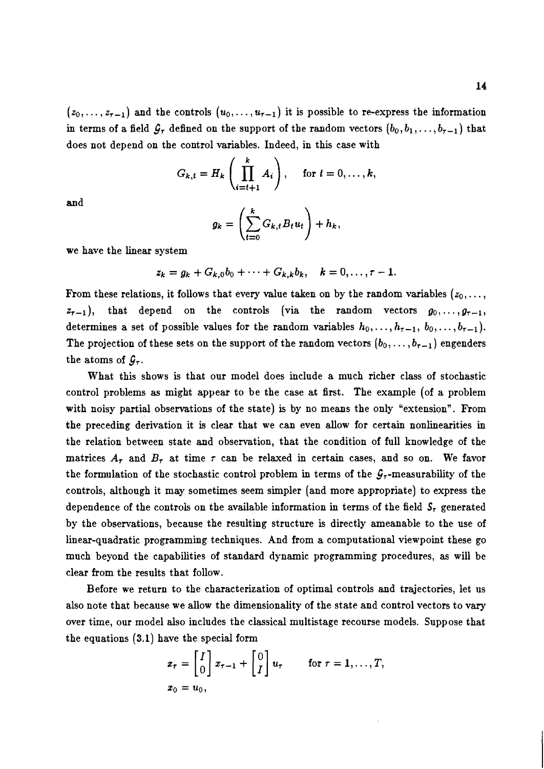$(z_0, \ldots, z_{\tau-1})$  and the controls  $(u_0, \ldots, u_{\tau-1})$  it is possible to re-express the information in terms of a field  $\mathcal{G}_{\tau}$  defined on the support of the random vectors  $(b_0, b_1, \ldots, b_{\tau-1})$  that does not depend on the control variables. Indeed, in this case with

$$
G_{k,t}=H_k\left(\prod_{i=t+1}^k A_i\right), \quad \text{ for } t=0,\ldots,k,
$$

and

$$
g_k = \left(\sum_{t=0}^k G_{k,t} B_t u_t\right) + h_k,
$$

we have the linear system

$$
z_k = g_k + G_{k,0}b_0 + \cdots + G_{k,k}b_k, \quad k = 0, \ldots, \tau - 1.
$$

From these relations, it follows that every value taken on by the random variables  $(z_0, \ldots, z_n)$  $z_{r-1}$ ), that depend on the controls (via the random vectors  $g_0,\ldots,g_{r-1}$ , determines a set of possible values for the random variables  $h_0, \ldots, h_{\tau-1}, b_0, \ldots, b_{\tau-1}$ . The projection of these sets on the support of the random vectors  $(b_0, \ldots, b_{\tau-1})$  engenders the atoms of  $\mathcal{G}_{\tau}$ .

What this shows is that our model does include a much richer class of stochastic control problems **as** might appear to be the case at first. The example (of a problem with noisy partial observations of the state) is by no means the only "extension". From the preceding derivation it is clear that we can even allow for certain nonlinearities in the relation between state and observation, that the condition of full knowledge of the matrices  $A_r$  and  $B_r$  at time  $\tau$  can be relaxed in certain cases, and so on. We favor the formulation of the stochastic control problem in terms of the  $G<sub>7</sub>$ -measurability of the controls, although it may sometimes seem simpler (and more appropriate) to express the dependence of the controls on the available information in terms of the field  $S<sub>7</sub>$  generated by the observations, because the resulting structure is directly ameanable to the use of linear-quadratic programming techniques. And from a computational viewpoint these go much beyond the capabilities of standard dynamic programming procedures, as will be clear from the results that follow.

Before we return to the characterization of optimal controls and trajectories, let us also note that because we allow the dimensionality of the state and control vectors to vary over time, our model also includes the classical multistage recourse models. Suppose that the equations **(3.1)** have the special form

$$
x_{\tau} = \begin{bmatrix} I \\ 0 \end{bmatrix} x_{\tau-1} + \begin{bmatrix} 0 \\ I \end{bmatrix} u_{\tau} \quad \text{for } \tau = 1, \ldots, T,
$$
  

$$
x_0 = u_0,
$$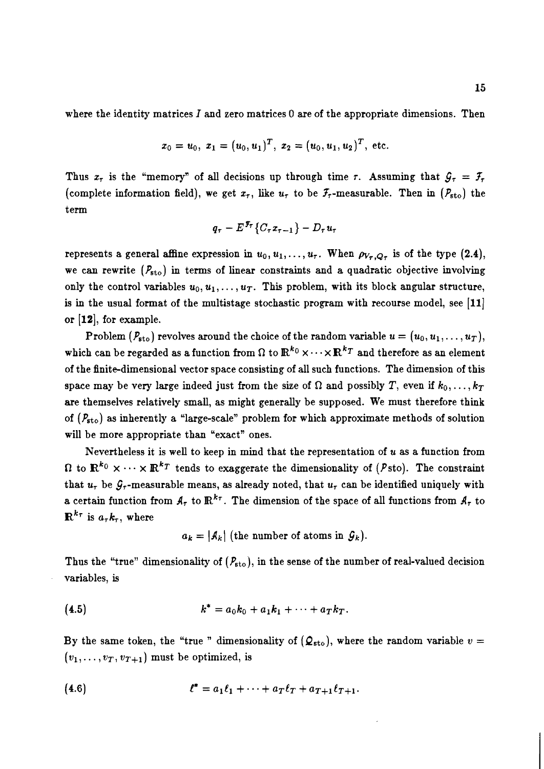where the identity matrices  $I$  and zero matrices 0 are of the appropriate dimensions. Then

$$
x_0 = u_0, x_1 = (u_0, u_1)^T, x_2 = (u_0, u_1, u_2)^T
$$
, etc.

Thus  $x_{\tau}$  is the "memory" of all decisions up through time r. Assuming that  $\mathcal{G}_{\tau} = \mathcal{F}_{\tau}$ (complete information field), we get  $x_{\tau}$ , like  $u_{\tau}$  to be  $\mathcal{F}_{\tau}$ -measurable. Then in  $(\mathcal{P}_{\text{sto}})$  the term

$$
q_{\tau}-E^{\mathfrak{F}_{\tau}}\left\{ C_{\tau}x_{\tau-1}\right\} -D_{\tau}u_{\tau}
$$

represents a general affine expression in  $u_0, u_1, \ldots, u_{\tau}$ . When  $\rho_{V_{\tau}, Q_{\tau}}$  is of the type (2.4), we can rewrite  $(P_{\text{sto}})$  in terms of linear constraints and a quadratic objective involving only the control variables  $u_0, u_1, \ldots, u_T$ . This problem, with its block angular structure, is in the usual format of the multistage stochastic program with recourse model, see  $[11]$ or  $[12]$ , for example.

Problem  $(P_{\text{sto}})$  revolves around the choice of the random variable  $u = (u_0, u_1, \ldots, u_T)$ , which can be regarded as a function from  $\Omega$  to  $\mathbb{R}^{k_0} \times \cdots \times \mathbb{R}^{k_T}$  and therefore as an element of the finite-dimensional vector space consisting of all such functions. The dimension of this space may be very large indeed just from the size of  $\Omega$  and possibly T, even if  $k_0, \ldots, k_T$ are themselves relatively small, as might generally be supposed. We must therefore think of  $(P_{\text{sto}})$  as inherently a "large-scale" problem for which approximate methods of solution will be more appropriate than "exact" ones.

Nevertheless it is well to keep in mind that the representation of  $u$  as a function from  $\Omega$  to  $\mathbb{R}^{k_0} \times \cdots \times \mathbb{R}^{k_T}$  tends to exaggerate the dimensionality of (Psto). The constraint that  $u_{\tau}$  be  $\mathcal{G}_{\tau}$ -measurable means, as already noted, that  $u_{\tau}$  can be identified uniquely with a certain function from  $\mathfrak{K}_{\tau}$  to  $\mathbb{R}^{k_{\tau}}$ . The dimension of the space of all functions from  $\mathfrak{K}_{\tau}$  to  $\mathbf{R}^{k_{\tau}}$  is  $a_{\tau}k_{\tau}$ , where

 $a_k = |\mathcal{A}_k|$  (the number of atoms in  $\mathcal{G}_k$ ).

Thus the "true" dimensionality of  $(P_{\text{sto}})$ , in the sense of the number of real-valued decision variables, is

(4.5) 
$$
k^* = a_0 k_0 + a_1 k_1 + \cdots + a_T k_T.
$$

By the same token, the "true " dimensionality of  $(Q_{\text{sto}})$ , where the random variable  $v =$  $(v_1,\ldots,v_T,v_{T+1})$  must be optimized, is

(4.6) 
$$
\ell^* = a_1 \ell_1 + \cdots + a_T \ell_T + a_{T+1} \ell_{T+1}.
$$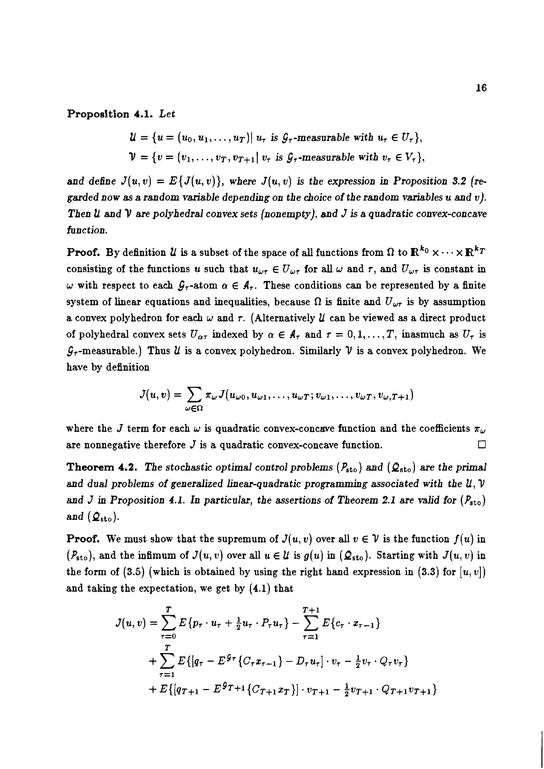### **Proposition 4.1.** Let

$$
\mathcal{U} = \{u = (u_0, u_1, \dots, u_T) | u_\tau \text{ is } \mathcal{G}_\tau\text{-measurable with } u_\tau \in U_\tau\},
$$
  

$$
\mathcal{V} = \{v = (v_1, \dots, v_T, v_{T+1} | v_\tau \text{ is } \mathcal{G}_\tau\text{-measurable with } v_\tau \in V_\tau\},
$$

and define  $J(u, v) = E\{J(u, v)\}\$ , where  $J(u, v)$  is the expression in Proposition 3.2 (regarded now as a random variable depending on the choice of the random variables u and  $v$ ). Then **U** and **V** are polyhedral convex sets (nonempty), and J is a quadratic convex-concave function.

**Proof.** By definition  $U$  is a subset of the space of all functions from  $\Omega$  to  $\mathbb{R}^{k_0} \times \cdots \times \mathbb{R}^{k_T}$ consisting of the functions u such that  $u_{\omega\tau} \in U_{\omega\tau}$  for all  $\omega$  and  $\tau$ , and  $U_{\omega\tau}$  is constant in w with respect to each  $\mathcal{G}_{\tau}$ -atom  $\alpha \in \mathcal{A}_{\tau}$ . These conditions can be represented by a finite system of linear equations and inequalities, because  $\Omega$  is finite and  $U_{\omega\tau}$  is by assumption a convex polyhedron for each  $\omega$  and  $\tau$ . (Alternatively  $\mathcal U$  can be viewed as a direct product of polyhedral convex sets  $U_{\alpha\tau}$  indexed by  $\alpha \in A_{\tau}$  and  $\tau = 0, 1, ..., T$ , inasmuch as  $U_{\tau}$  is  $\mathcal{G}_{\tau}$ -measurable.) Thus *U* is a convex polyhedron. Similarly *V* is a convex polyhedron. We have by definition

$$
J(u,v)=\sum_{\omega\in\Omega}\pi_{\omega}J(u_{\omega0},u_{\omega1},\ldots,u_{\omega T};v_{\omega1},\ldots,v_{\omega T},v_{\omega,T+1})
$$

where the J term for each  $\omega$  is quadratic convex-concave function and the coefficients  $\pi_{\omega}$ are nonnegative therefore  $J$  is a quadratic convex-concave function.  $\Box$ 

**Theorem 4.2.** The stochastic optimal control problems  $(P_{\text{sto}})$  and  $(Q_{\text{sto}})$  are the primal and dual problems of generalized linear-quadratic programming associated with the  $U, V$ and J in Proposition 4.1. In particular, the assertions of Theorem 2.1 are valid for  $(P_{\text{sto}})$ and  $(\mathcal{Q}_{\text{sto}})$ .

**Proof.** We must show that the supremum of  $J(u, v)$  over all  $v \in V$  is the function  $f(u)$  in  $(P_{\text{sto}})$ , and the infimum of  $J(u, v)$  over all  $u \in \mathcal{U}$  is  $g(u)$  in  $(\mathcal{Q}_{\text{sto}})$ . Starting with  $J(u, v)$  in the form of (3.5) (which is obtained by using the right hand expression in (3.3) for  $[u, v]$ ) and taking the expectation, we get by (4.1) that

$$
J(u, v) = \sum_{\tau=0}^{T} E\{p_{\tau} \cdot u_{\tau} + \frac{1}{2}u_{\tau} \cdot P_{\tau}u_{\tau}\} - \sum_{\tau=1}^{T+1} E\{c_{\tau} \cdot x_{\tau-1}\}
$$
  
+ 
$$
\sum_{\tau=1}^{T} E\{[q_{\tau} - E^{g_{\tau}}\{C_{\tau}x_{\tau-1}\} - D_{\tau}u_{\tau}] \cdot v_{\tau} - \frac{1}{2}v_{\tau} \cdot Q_{\tau}v_{\tau}\}
$$
  
+ 
$$
E\{[q_{T+1} - E^{g_{T+1}}\{C_{T+1}x_{T}\}] \cdot v_{T+1} - \frac{1}{2}v_{T+1} \cdot Q_{T+1}v_{T+1}\}
$$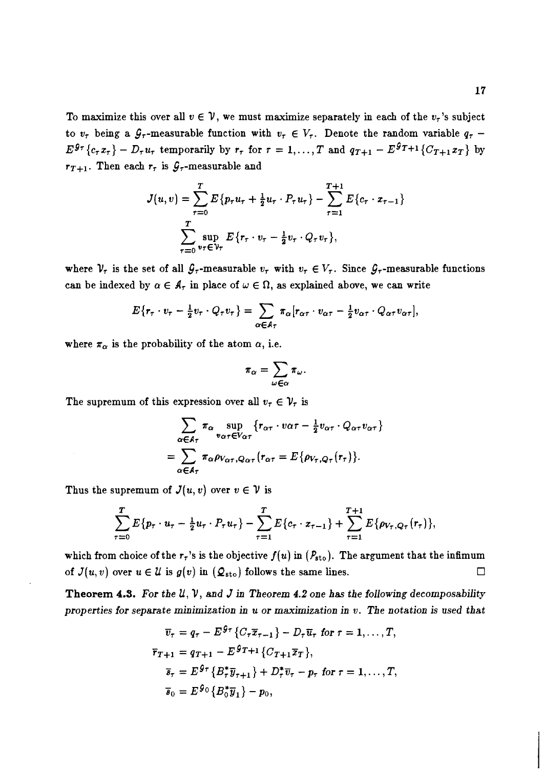To maximize this over all  $v \in V$ , we must maximize separately in each of the  $v<sub>\tau</sub>$ 's subject to  $v_{\tau}$  being a  $\mathcal{G}_{\tau}$ -measurable function with  $v_{\tau} \in V_{\tau}$ . Denote the random variable  $q_{\tau}$  - $E^{\mathcal{G}_{\tau}}\{c_{\tau}x_{\tau}\}-D_{\tau}u_{\tau}$  temporarily by  $r_{\tau}$  for  $\tau=1,\ldots,T$  and  $q_{T+1}-E^{\mathcal{G}_{T+1}}\{C_{T+1}x_{T}\}$  by  $r_{T+1}$ . Then each  $r_{\tau}$  is  $\mathcal{G}_{\tau}$ -measurable and

$$
J(u, v) = \sum_{\tau=0}^{T} E\{p_{\tau}u_{\tau} + \frac{1}{2}u_{\tau} \cdot P_{\tau}u_{\tau}\} - \sum_{\tau=1}^{T+1} E\{c_{\tau} \cdot x_{\tau-1}\}\
$$

$$
\sum_{\tau=0}^{T} \sup_{v_{\tau} \in \mathcal{V}_{\tau}} E\{r_{\tau} \cdot v_{\tau} - \frac{1}{2}v_{\tau} \cdot Q_{\tau}v_{\tau}\},
$$

where  $V_{\tau}$  is the set of all  $\mathcal{G}_{\tau}$ -measurable  $v_{\tau}$  with  $v_{\tau} \in V_{\tau}$ . Since  $\mathcal{G}_{\tau}$ -measurable functions can be indexed by  $\alpha \in \mathcal{A}_{\tau}$  in place of  $\omega \in \Omega$ , as explained above, we can write

$$
E\{r_{\tau}\cdot v_{\tau}-\frac{1}{2}v_{\tau}\cdot Q_{\tau}v_{\tau}\}=\sum_{\alpha\in A_{\tau}}\pi_{\alpha}[r_{\alpha\tau}\cdot v_{\alpha\tau}-\frac{1}{2}v_{\alpha\tau}\cdot Q_{\alpha\tau}v_{\alpha\tau}],
$$

where  $\pi_{\alpha}$  is the probability of the atom  $\alpha$ , i.e.

$$
\pi_{\alpha} = \sum_{\omega \in \alpha} \pi_{\omega}
$$

The supremum of this expression over all  $v_{\tau} \in \mathcal{V}_{\tau}$  is

$$
\sum_{\alpha \in A_{\tau}} \pi_{\alpha} \sup_{v_{\alpha \tau} \in V_{\alpha \tau}} \{r_{\alpha \tau} \cdot v_{\alpha \tau} - \frac{1}{2} v_{\alpha \tau} \cdot Q_{\alpha \tau} v_{\alpha \tau}\}\
$$

$$
= \sum_{\alpha \in A_{\tau}} \pi_{\alpha} \rho_{V_{\alpha \tau}, Q_{\alpha \tau}} (r_{\alpha \tau} = E \{ \rho_{V_{\tau}, Q_{\tau}}(r_{\tau}) \}.
$$

Thus the supremum of  $J(u, v)$  over  $v \in V$  is

$$
\sum_{\tau=0}^T E\{p_\tau \cdot u_\tau - \frac{1}{2}u_\tau \cdot P_\tau u_\tau\} - \sum_{\tau=1}^T E\{c_\tau \cdot x_{\tau-1}\} + \sum_{\tau=1}^{T+1} E\{\rho_{V_\tau,Q_\tau}(r_\tau)\},
$$

which from choice of the  $r<sub>\tau</sub>$ 's is the objective  $f(u)$  in  $(P_{\text{sto}})$ . The argument that the infimum of  $J(u, v)$  over  $u \in \mathcal{U}$  is  $g(v)$  in  $(\mathcal{Q}_{\text{sto}})$  follows the same lines.  $\Box$ 

**Theorem** *4.3. For the* **U,** V, *and* J *in Theorem* 4.2 *one has the following decomposability properties for separate minimization in u or maximization in v. The notation is used that*<br>  $\overline{v}_e = a_e - E^{\theta_T} \{ C_e \overline{x}_e, y_e\} - D_e \overline{v}_e$  for  $\tau = 1$  . T

$$
\overline{v}_{\tau} = q_{\tau} - E^{g_{\tau}} \{ C_{\tau} \overline{x}_{\tau-1} \} - D_{\tau} \overline{u}_{\tau} \text{ for } \tau = 1, ..., T,
$$
  
\n
$$
\overline{r}_{T+1} = q_{T+1} - E^{g_{T+1}} \{ C_{T+1} \overline{x}_{T} \},
$$
  
\n
$$
\overline{s}_{\tau} = E^{g_{\tau}} \{ B_{\tau}^{*} \overline{y}_{\tau+1} \} + D_{\tau}^{*} \overline{v}_{\tau} - p_{\tau} \text{ for } \tau = 1, ..., T,
$$
  
\n
$$
\overline{s}_{0} = E^{g_{0}} \{ B_{0}^{*} \overline{y}_{1} \} - p_{0},
$$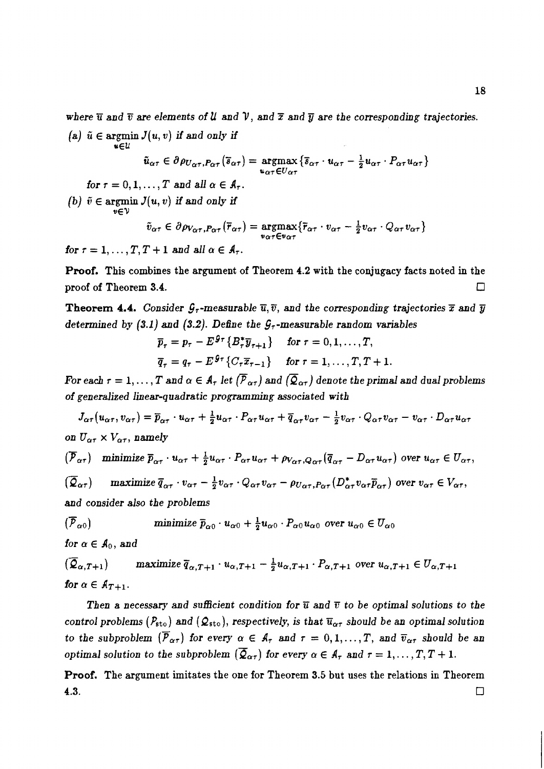*where*  $\overline{u}$  and  $\overline{v}$  are elements of **U** and **V**, and  $\overline{x}$  and  $\overline{y}$  are the corresponding trajectories.

 $(a)$   $\tilde{u} \in \text{argmin } J(u, v)$  *if and only if uEU* 

$$
\tilde{u}_{\alpha\tau} \in \partial \rho_{U_{\alpha\tau}, P_{\alpha\tau}}(\overline{s}_{\alpha\tau}) = \underset{u_{\alpha\tau} \in U_{\alpha\tau}}{\operatorname{argmax}} \{ \overline{s}_{\alpha\tau} \cdot u_{\alpha\tau} - \frac{1}{2} u_{\alpha\tau} \cdot P_{\alpha\tau} u_{\alpha\tau} \}
$$

*for*  $\tau = 0, 1, \ldots, T$  and all  $\alpha \in \mathcal{A}_{\tau}$ .

*(b)*  $\tilde{v} \in \text{argmin } J(u, v)$  if and only if

$$
\tilde{v}_{\alpha\tau} \in \partial \rho_{V_{\alpha\tau}, P_{\alpha\tau}}(\bar{r}_{\alpha\tau}) = \underset{v_{\alpha\tau} \in v_{\alpha\tau}}{\text{argmax}} \{ \bar{r}_{\alpha\tau} \cdot v_{\alpha\tau} - \frac{1}{2} v_{\alpha\tau} \cdot Q_{\alpha\tau} v_{\alpha\tau} \}
$$

*for*  $\tau = 1, \ldots, T, T + 1$  and all  $\alpha \in A_{\tau}$ .

**Proof. This combines the argument of Theorem 4.2 with the conjugacy facts noted in the proof of Theorem 3.4.**   $\Box$ 

**Theorem 4.4.** Consider  $\mathcal{G}_{\tau}$ -measurable  $\overline{u}, \overline{v}$ , and the corresponding trajectories  $\overline{x}$  and  $\overline{y}$ *determined by (3.1) and (3.2). Define the*  $G<sub>r</sub>$ *-measurable random variables* 

$$
\overline{p}_{\tau} = p_{\tau} - E^{g_{\tau}} \{ B_{\tau}^{*} \overline{y}_{\tau+1} \} \quad \text{for } \tau = 0, 1, ..., T,
$$
  

$$
\overline{q}_{\tau} = q_{\tau} - E^{g_{\tau}} \{ C_{\tau} \overline{x}_{\tau-1} \} \quad \text{for } \tau = 1, ..., T, T+1.
$$

*For each*  $\tau = 1, \ldots, T$  and  $\alpha \in A_{\tau}$  let  $(\overline{P}_{\alpha \tau})$  and  $(\overline{Q}_{\alpha \tau})$  denote the primal and dual problems *of generalized linear-quadratic programming associated with* 

 $J_{\alpha\tau}(u_{\alpha\tau},v_{\alpha\tau})=\overline{p}_{\alpha\tau}\cdot u_{\alpha\tau}+\frac{1}{2}u_{\alpha\tau}\cdot P_{\alpha\tau}u_{\alpha\tau}+\overline{q}_{\alpha\tau}v_{\alpha\tau}-\frac{1}{2}v_{\alpha\tau}\cdot Q_{\alpha\tau}v_{\alpha\tau}-v_{\alpha\tau}\cdot D_{\alpha\tau}u_{\alpha\tau}$ *on*  $U_{\alpha\tau} \times V_{\alpha\tau}$ , namely

$$
(\overline{\mathcal{P}}_{\alpha\tau}) \quad \text{minimize } \overline{p}_{\alpha\tau} \cdot u_{\alpha\tau} + \frac{1}{2} u_{\alpha\tau} \cdot P_{\alpha\tau} u_{\alpha\tau} + \rho_{V_{\alpha\tau}, Q_{\alpha\tau}} (\overline{q}_{\alpha\tau} - D_{\alpha\tau} u_{\alpha\tau}) \text{ over } u_{\alpha\tau} \in U_{\alpha\tau},
$$
  

$$
(\overline{\mathcal{Q}}_{\alpha\tau}) \quad \text{maximize } \overline{q}_{\alpha\tau} \cdot v_{\alpha\tau} - \frac{1}{2} v_{\alpha\tau} \cdot Q_{\alpha\tau} v_{\alpha\tau} - \rho_{U_{\alpha\tau}, P_{\alpha\tau}} (D_{\alpha\tau}^* v_{\alpha\tau} \overline{p}_{\alpha\tau}) \text{ over } v_{\alpha\tau} \in V_{\alpha\tau},
$$

*and consider also the problems* 

$$
(\overline{P}_{\alpha 0})
$$
 minimize  $\overline{p}_{\alpha 0} \cdot u_{\alpha 0} + \frac{1}{2} u_{\alpha 0} \cdot P_{\alpha 0} u_{\alpha 0}$  over  $u_{\alpha 0} \in U_{\alpha 0}$ 

*for*  $\alpha \in A_0$ *, and* 

$$
(\overline{Q}_{\alpha,T+1})
$$
maximize  $\overline{q}_{\alpha,T+1} \cdot u_{\alpha,T+1} - \frac{1}{2}u_{\alpha,T+1} \cdot P_{\alpha,T+1}$  over  $u_{\alpha,T+1} \in U_{\alpha,T+1}$   
for  $\alpha \in A_{T+1}$ .

**Then a necessary and sufficient condition for**  $\overline{u}$  **and**  $\overline{v}$  **to be optimal solutions to the** *control problems (P<sub>sto</sub>) and (* $Q_{sto}$ *), respectively, is that*  $\overline{u}_{\alpha\tau}$  *should be an optimal solution to the subproblem*  $(\overline{P}_{\alpha\tau})$  for every  $\alpha \in A_{\tau}$  and  $\tau = 0, 1, ..., T$ , and  $\overline{v}_{\alpha\tau}$  should be an *optimal solution to the subproblem*  $(\overline{Q}_{\alpha\tau})$  for every  $\alpha \in A_{\tau}$  and  $\tau = 1, \ldots, T, T + 1$ .

**Proof.** The argument imitates the one for Theorem 3.5 but uses the relations in Theorem **4.3.**  $\Box$